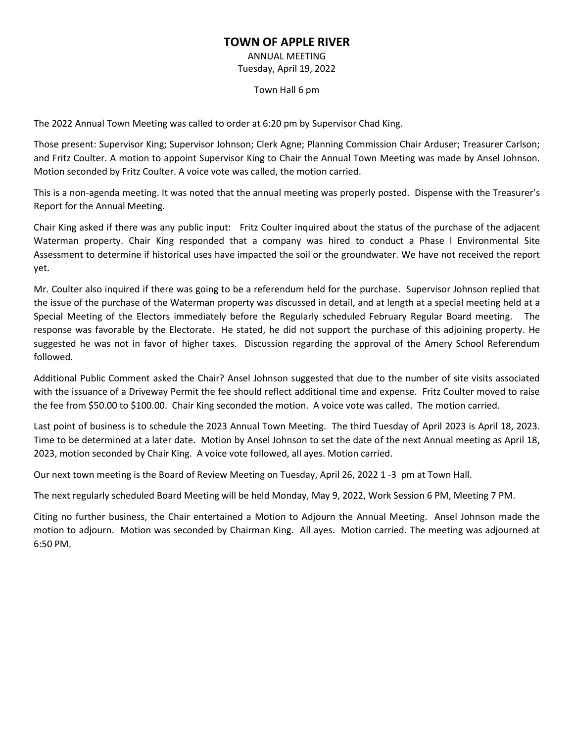## **TOWN OF APPLE RIVER**

ANNUAL MEETING Tuesday, April 19, 2022

Town Hall 6 pm

The 2022 Annual Town Meeting was called to order at 6:20 pm by Supervisor Chad King.

Those present: Supervisor King; Supervisor Johnson; Clerk Agne; Planning Commission Chair Arduser; Treasurer Carlson; and Fritz Coulter. A motion to appoint Supervisor King to Chair the Annual Town Meeting was made by Ansel Johnson. Motion seconded by Fritz Coulter. A voice vote was called, the motion carried.

This is a non-agenda meeting. It was noted that the annual meeting was properly posted. Dispense with the Treasurer's Report for the Annual Meeting.

Chair King asked if there was any public input: Fritz Coulter inquired about the status of the purchase of the adjacent Waterman property. Chair King responded that a company was hired to conduct a Phase l Environmental Site Assessment to determine if historical uses have impacted the soil or the groundwater. We have not received the report yet.

Mr. Coulter also inquired if there was going to be a referendum held for the purchase. Supervisor Johnson replied that the issue of the purchase of the Waterman property was discussed in detail, and at length at a special meeting held at a Special Meeting of the Electors immediately before the Regularly scheduled February Regular Board meeting. The response was favorable by the Electorate. He stated, he did not support the purchase of this adjoining property. He suggested he was not in favor of higher taxes. Discussion regarding the approval of the Amery School Referendum followed.

Additional Public Comment asked the Chair? Ansel Johnson suggested that due to the number of site visits associated with the issuance of a Driveway Permit the fee should reflect additional time and expense. Fritz Coulter moved to raise the fee from \$50.00 to \$100.00. Chair King seconded the motion. A voice vote was called. The motion carried.

Last point of business is to schedule the 2023 Annual Town Meeting. The third Tuesday of April 2023 is April 18, 2023. Time to be determined at a later date. Motion by Ansel Johnson to set the date of the next Annual meeting as April 18, 2023, motion seconded by Chair King. A voice vote followed, all ayes. Motion carried.

Our next town meeting is the Board of Review Meeting on Tuesday, April 26, 2022 1 -3 pm at Town Hall.

The next regularly scheduled Board Meeting will be held Monday, May 9, 2022, Work Session 6 PM, Meeting 7 PM.

Citing no further business, the Chair entertained a Motion to Adjourn the Annual Meeting. Ansel Johnson made the motion to adjourn. Motion was seconded by Chairman King. All ayes. Motion carried. The meeting was adjourned at 6:50 PM.